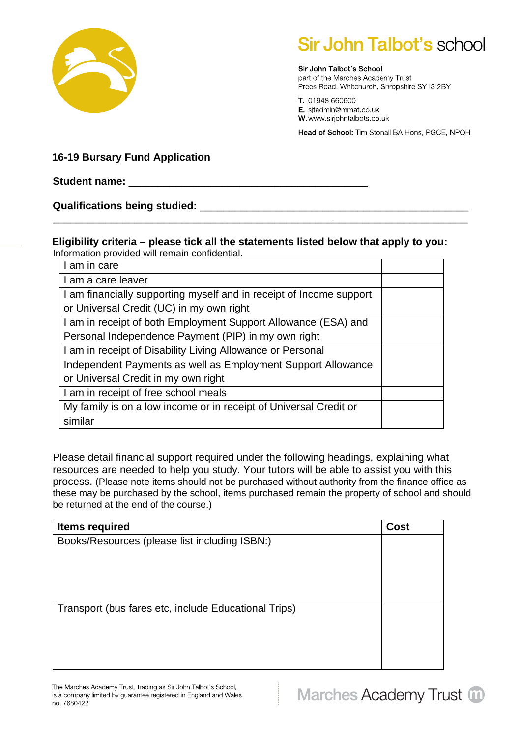

## **Sir John Talbot's school**

Sir John Talbot's School part of the Marches Academy Trust Prees Road, Whitchurch, Shropshire SY13 2BY

T. 01948 660600 E. sjtadmin@mmat.co.uk W.www.sirjohntalbots.co.uk

Head of School: Tim Stonall BA Hons, PGCE, NPQH

**16-19 Bursary Fund Application**

## **Student name:** \_\_\_\_\_\_\_\_\_\_\_\_\_\_\_\_\_\_\_\_\_\_\_\_\_\_\_\_\_\_\_\_\_\_\_\_\_\_\_\_\_

**Qualifications being studied:** \_\_\_\_\_\_\_\_\_\_\_\_\_\_\_\_\_\_\_\_\_\_\_\_\_\_\_\_\_\_\_\_\_\_\_\_\_\_\_\_\_\_\_\_\_\_

## **Eligibility criteria – please tick all the statements listed below that apply to you:** Information provided will remain confidential.

\_\_\_\_\_\_\_\_\_\_\_\_\_\_\_\_\_\_\_\_\_\_\_\_\_\_\_\_\_\_\_\_\_\_\_\_\_\_\_\_\_\_\_\_\_\_\_\_\_\_\_\_\_\_\_\_\_\_\_\_\_\_\_\_\_\_\_\_\_\_\_

| am in care                                                          |  |
|---------------------------------------------------------------------|--|
| I am a care leaver                                                  |  |
| I am financially supporting myself and in receipt of Income support |  |
| or Universal Credit (UC) in my own right                            |  |
| I am in receipt of both Employment Support Allowance (ESA) and      |  |
| Personal Independence Payment (PIP) in my own right                 |  |
| I am in receipt of Disability Living Allowance or Personal          |  |
| Independent Payments as well as Employment Support Allowance        |  |
| or Universal Credit in my own right                                 |  |
| I am in receipt of free school meals                                |  |
| My family is on a low income or in receipt of Universal Credit or   |  |
| similar                                                             |  |

Please detail financial support required under the following headings, explaining what resources are needed to help you study. Your tutors will be able to assist you with this process. (Please note items should not be purchased without authority from the finance office as these may be purchased by the school, items purchased remain the property of school and should be returned at the end of the course.)

| <b>Items required</b>                                | <b>Cost</b> |
|------------------------------------------------------|-------------|
| Books/Resources (please list including ISBN:)        |             |
|                                                      |             |
|                                                      |             |
|                                                      |             |
|                                                      |             |
| Transport (bus fares etc, include Educational Trips) |             |
|                                                      |             |
|                                                      |             |
|                                                      |             |
|                                                      |             |